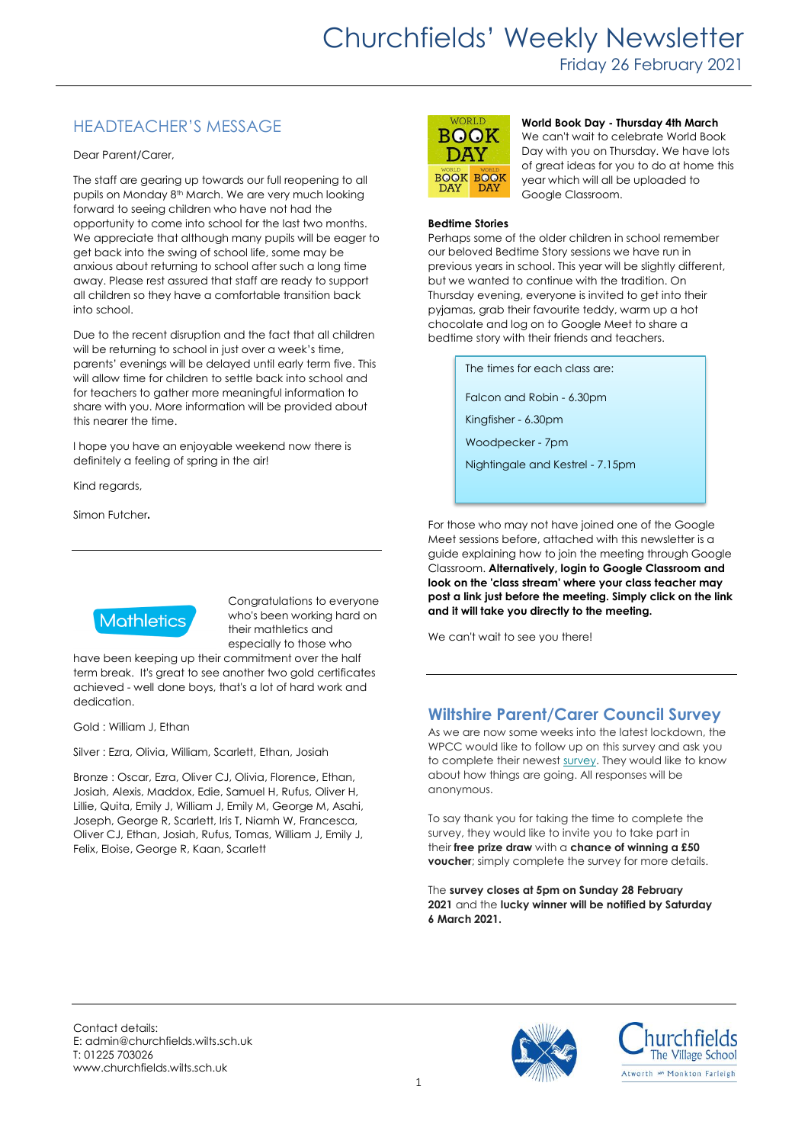## HEADTEACHER'S MESSAGE

Dear Parent/Carer,

The staff are gearing up towards our full reopening to all pupils on Monday 8th March. We are very much looking forward to seeing children who have not had the opportunity to come into school for the last two months. We appreciate that although many pupils will be eager to get back into the swing of school life, some may be anxious about returning to school after such a long time away. Please rest assured that staff are ready to support all children so they have a comfortable transition back into school.

Due to the recent disruption and the fact that all children will be returning to school in just over a week's time, parents' evenings will be delayed until early term five. This will allow time for children to settle back into school and for teachers to gather more meaningful information to share with you. More information will be provided about this nearer the time.

I hope you have an enjoyable weekend now there is definitely a feeling of spring in the air!

Kind regards,

Simon Futcher.



Congratulations to everyone who's been working hard on their mathletics and especially to those who

have been keeping up their commitment over the half term break. It's great to see another two gold certificates achieved - well done boys, that's a lot of hard work and dedication.

Gold : William J, Ethan

Silver : Ezra, Olivia, William, Scarlett, Ethan, Josiah

Bronze : Oscar, Ezra, Oliver CJ, Olivia, Florence, Ethan, Josiah, Alexis, Maddox, Edie, Samuel H, Rufus, Oliver H, Lillie, Quita, Emily J, William J, Emily M, George M, Asahi, Joseph, George R, Scarlett, Iris T, Niamh W, Francesca, Oliver CJ, Ethan, Josiah, Rufus, Tomas, William J, Emily J, Felix, Eloise, George R, Kaan, Scarlett



### **World Book Day - Thursday 4th March**

We can't wait to celebrate World Book Day with you on Thursday. We have lots of great ideas for you to do at home this year which will all be uploaded to Google Classroom.

### **Bedtime Stories**

Perhaps some of the older children in school remember our beloved Bedtime Story sessions we have run in previous years in school. This year will be slightly different, but we wanted to continue with the tradition. On Thursday evening, everyone is invited to get into their pyjamas, grab their favourite teddy, warm up a hot chocolate and log on to Google Meet to share a bedtime story with their friends and teachers.

> The times for each class are: Falcon and Robin - 6.30pm Kingfisher - 6.30pm Woodpecker - 7pm Nightingale and Kestrel - 7.15pm

For those who may not have joined one of the Google Meet sessions before, attached with this newsletter is a guide explaining how to join the meeting through Google Classroom. **Alternatively, login to Google Classroom and look on the 'class stream' where your class teacher may post a link just before the meeting. Simply click on the link and it will take you directly to the meeting.**

We can't wait to see you there!

### **Wiltshire Parent/Carer Council Survey**

As we are now some weeks into the latest lockdown, the WPCC would like to follow up on this survey and ask you to complete their newes[t survey.](https://wiltshire.us5.list-manage.com/track/click?u=2883905f726c9fc694bef8b9e&id=a02dd2f238&e=b4e418086b) They would like to know about how things are going. All responses will be anonymous.

To say thank you for taking the time to complete the survey, they would like to invite you to take part in their **free prize draw** with a **chance of winning a £50 voucher**; simply complete the survey for more details.

The **survey closes at 5pm on Sunday 28 February 2021** and the **lucky winner will be notified by Saturday 6 March 2021.**

Contact details: E: admin@churchfields.wilts.sch.uk T: 01225 703026 www.churchfields.wilts.sch.uk



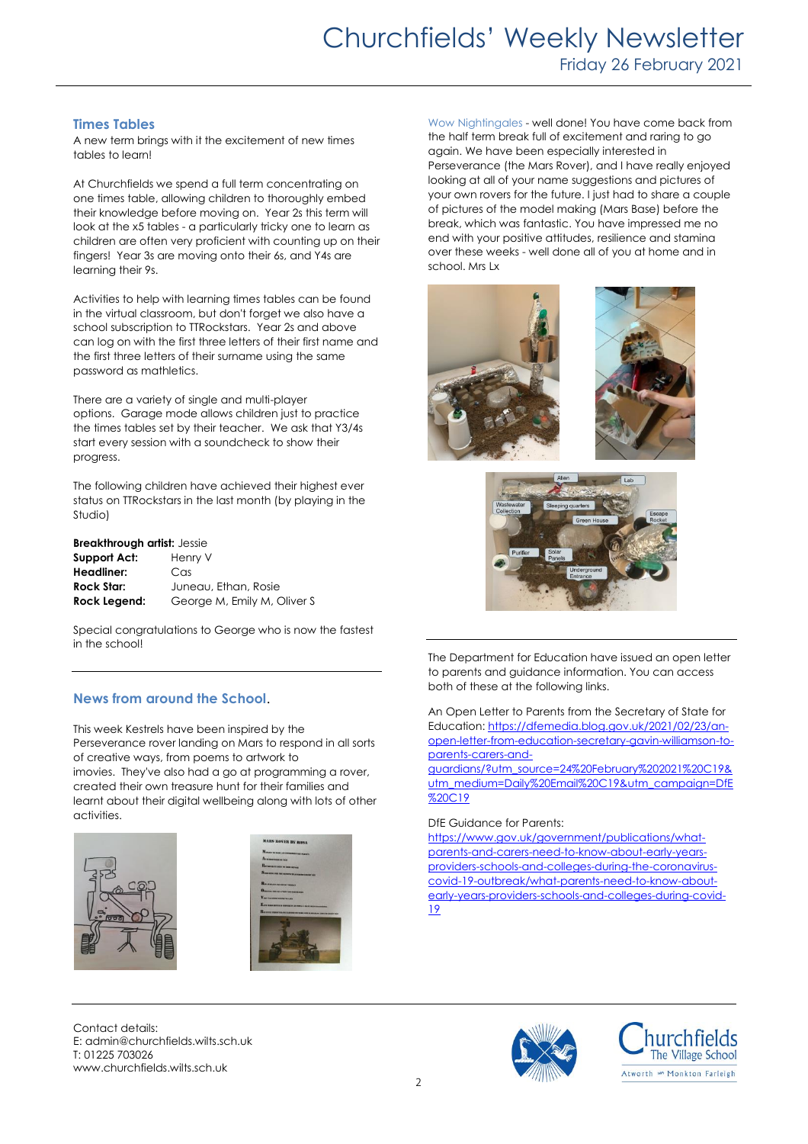# Churchfields' Weekly Newsletter Friday 26 February 2021

### **Times Tables**

A new term brings with it the excitement of new times tables to learn!

At Churchfields we spend a full term concentrating on one times table, allowing children to thoroughly embed their knowledge before moving on. Year 2s this term will look at the x5 tables - a particularly tricky one to learn as children are often very proficient with counting up on their fingers! Year 3s are moving onto their 6s, and Y4s are learning their 9s.

Activities to help with learning times tables can be found in the virtual classroom, but don't forget we also have a school subscription to TTRockstars. Year 2s and above can log on with the first three letters of their first name and the first three letters of their surname using the same password as mathletics.

There are a variety of single and multi-player options. Garage mode allows children just to practice the times tables set by their teacher. We ask that Y3/4s start every session with a soundcheck to show their progress.

The following children have achieved their highest ever status on TTRockstars in the last month (by playing in the Studio)

### **Breakthrough artist:** Jessie

| <b>Support Act:</b> | Henry V                     |
|---------------------|-----------------------------|
| Headliner:          | Cas                         |
| <b>Rock Star:</b>   | Juneau, Ethan, Rosie        |
| Rock Legend:        | George M, Emily M, Oliver S |

Special congratulations to George who is now the fastest in the school!

### **News from around the School**.

This week Kestrels have been inspired by the Perseverance rover landing on Mars to respond in all sorts of creative ways, from poems to artwork to imovies. They've also had a go at programming a rover, created their own treasure hunt for their families and learnt about their digital wellbeing along with lots of other activities.





Contact details: E: admin@churchfields.wilts.sch.uk T: 01225 703026 www.churchfields.wilts.sch.uk

Wow Nightingales - well done! You have come back from the half term break full of excitement and raring to go again. We have been especially interested in Perseverance (the Mars Rover), and I have really enjoyed looking at all of your name suggestions and pictures of your own rovers for the future. I just had to share a couple of pictures of the model making (Mars Base) before the break, which was fantastic. You have impressed me no end with your positive attitudes, resilience and stamina over these weeks - well done all of you at home and in school. Mrs Lx







The Department for Education have issued an open letter to parents and guidance information. You can access both of these at the following links.

An Open Letter to Parents from the Secretary of State for Education[: https://dfemedia.blog.gov.uk/2021/02/23/an](https://dfemedia.blog.gov.uk/2021/02/23/an-open-letter-from-education-secretary-gavin-williamson-to-parents-carers-and-guardians/?utm_source=24%20February%202021%20C19&utm_medium=Daily%20Email%20C19&utm_campaign=DfE%20C19)[open-letter-from-education-secretary-gavin-williamson-to](https://dfemedia.blog.gov.uk/2021/02/23/an-open-letter-from-education-secretary-gavin-williamson-to-parents-carers-and-guardians/?utm_source=24%20February%202021%20C19&utm_medium=Daily%20Email%20C19&utm_campaign=DfE%20C19)[parents-carers-and-](https://dfemedia.blog.gov.uk/2021/02/23/an-open-letter-from-education-secretary-gavin-williamson-to-parents-carers-and-guardians/?utm_source=24%20February%202021%20C19&utm_medium=Daily%20Email%20C19&utm_campaign=DfE%20C19)

[guardians/?utm\\_source=24%20February%202021%20C19&](https://dfemedia.blog.gov.uk/2021/02/23/an-open-letter-from-education-secretary-gavin-williamson-to-parents-carers-and-guardians/?utm_source=24%20February%202021%20C19&utm_medium=Daily%20Email%20C19&utm_campaign=DfE%20C19) [utm\\_medium=Daily%20Email%20C19&utm\\_campaign=DfE](https://dfemedia.blog.gov.uk/2021/02/23/an-open-letter-from-education-secretary-gavin-williamson-to-parents-carers-and-guardians/?utm_source=24%20February%202021%20C19&utm_medium=Daily%20Email%20C19&utm_campaign=DfE%20C19) [%20C19](https://dfemedia.blog.gov.uk/2021/02/23/an-open-letter-from-education-secretary-gavin-williamson-to-parents-carers-and-guardians/?utm_source=24%20February%202021%20C19&utm_medium=Daily%20Email%20C19&utm_campaign=DfE%20C19)

#### DfE Guidance for Parents:

[https://www.gov.uk/government/publications/what](https://www.gov.uk/government/publications/what-parents-and-carers-need-to-know-about-early-years-providers-schools-and-colleges-during-the-coronavirus-covid-19-outbreak/what-parents-need-to-know-about-early-years-providers-schools-and-colleges-during-covid-19)[parents-and-carers-need-to-know-about-early-years](https://www.gov.uk/government/publications/what-parents-and-carers-need-to-know-about-early-years-providers-schools-and-colleges-during-the-coronavirus-covid-19-outbreak/what-parents-need-to-know-about-early-years-providers-schools-and-colleges-during-covid-19)[providers-schools-and-colleges-during-the-coronavirus](https://www.gov.uk/government/publications/what-parents-and-carers-need-to-know-about-early-years-providers-schools-and-colleges-during-the-coronavirus-covid-19-outbreak/what-parents-need-to-know-about-early-years-providers-schools-and-colleges-during-covid-19)[covid-19-outbreak/what-parents-need-to-know-about](https://www.gov.uk/government/publications/what-parents-and-carers-need-to-know-about-early-years-providers-schools-and-colleges-during-the-coronavirus-covid-19-outbreak/what-parents-need-to-know-about-early-years-providers-schools-and-colleges-during-covid-19)[early-years-providers-schools-and-colleges-during-covid-](https://www.gov.uk/government/publications/what-parents-and-carers-need-to-know-about-early-years-providers-schools-and-colleges-during-the-coronavirus-covid-19-outbreak/what-parents-need-to-know-about-early-years-providers-schools-and-colleges-during-covid-19)[19](https://www.gov.uk/government/publications/what-parents-and-carers-need-to-know-about-early-years-providers-schools-and-colleges-during-the-coronavirus-covid-19-outbreak/what-parents-need-to-know-about-early-years-providers-schools-and-colleges-during-covid-19)